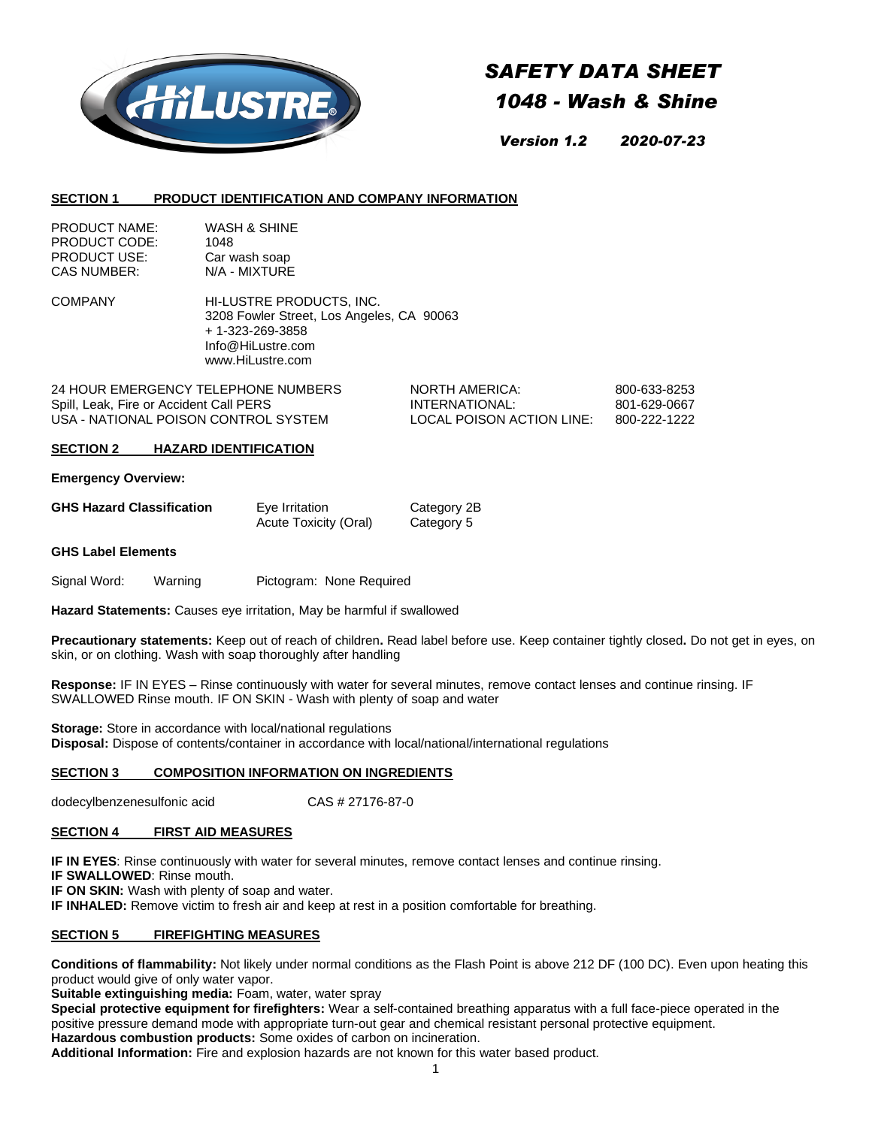

# *SAFETY DATA SHEET*

# *1048 - Wash & Shine*

*Version 1.2 2020-07-23*

# **SECTION 1 PRODUCT IDENTIFICATION AND COMPANY INFORMATION**

| <b>PRODUCT NAME:</b> | WASH & SHINE  |
|----------------------|---------------|
| PRODUCT CODE:        | 1048          |
| <b>PRODUCT USE:</b>  | Car wash soap |
| CAS NUMBER:          | N/A - MIXTURE |

COMPANY HI-LUSTRE PRODUCTS, INC. 3208 Fowler Street, Los Angeles, CA 90063 + 1-323-269-3858 Info@HiLustre.com www.HiLustre.com

24 HOUR EMERGENCY TELEPHONE NUMBERS NORTH AMERICA: 800-633-8253 Spill, Leak, Fire or Accident Call PERS **INTERNATIONAL:** 801-629-0667 USA - NATIONAL POISON CONTROL SYSTEM LOCAL POISON ACTION LINE: 800-222-1222

# **SECTION 2 HAZARD IDENTIFICATION**

**Emergency Overview:**

| <b>GHS Hazard Classification</b> | Eye Irritation        | Category 2B |
|----------------------------------|-----------------------|-------------|
|                                  | Acute Toxicity (Oral) | Category 5  |

#### **GHS Label Elements**

Signal Word: Warning Pictogram: None Required

**Hazard Statements:** Causes eye irritation, May be harmful if swallowed

**Precautionary statements:** Keep out of reach of children**.** Read label before use. Keep container tightly closed**.** Do not get in eyes, on skin, or on clothing. Wash with soap thoroughly after handling

**Response:** IF IN EYES – Rinse continuously with water for several minutes, remove contact lenses and continue rinsing. IF SWALLOWED Rinse mouth. IF ON SKIN - Wash with plenty of soap and water

**Storage:** Store in accordance with local/national regulations **Disposal:** Dispose of contents/container in accordance with local/national/international regulations

# **SECTION 3 COMPOSITION INFORMATION ON INGREDIENTS**

dodecylbenzenesulfonic acid CAS # 27176-87-0

# **SECTION 4 FIRST AID MEASURES**

**IF IN EYES**: Rinse continuously with water for several minutes, remove contact lenses and continue rinsing.

**IF SWALLOWED**: Rinse mouth.

**IF ON SKIN:** Wash with plenty of soap and water.

**IF INHALED:** Remove victim to fresh air and keep at rest in a position comfortable for breathing.

# **SECTION 5 FIREFIGHTING MEASURES**

**Conditions of flammability:** Not likely under normal conditions as the Flash Point is above 212 DF (100 DC). Even upon heating this product would give of only water vapor.

**Suitable extinguishing media:** Foam, water, water spray

**Special protective equipment for firefighters:** Wear a self-contained breathing apparatus with a full face-piece operated in the positive pressure demand mode with appropriate turn-out gear and chemical resistant personal protective equipment. **Hazardous combustion products:** Some oxides of carbon on incineration.

**Additional Information:** Fire and explosion hazards are not known for this water based product.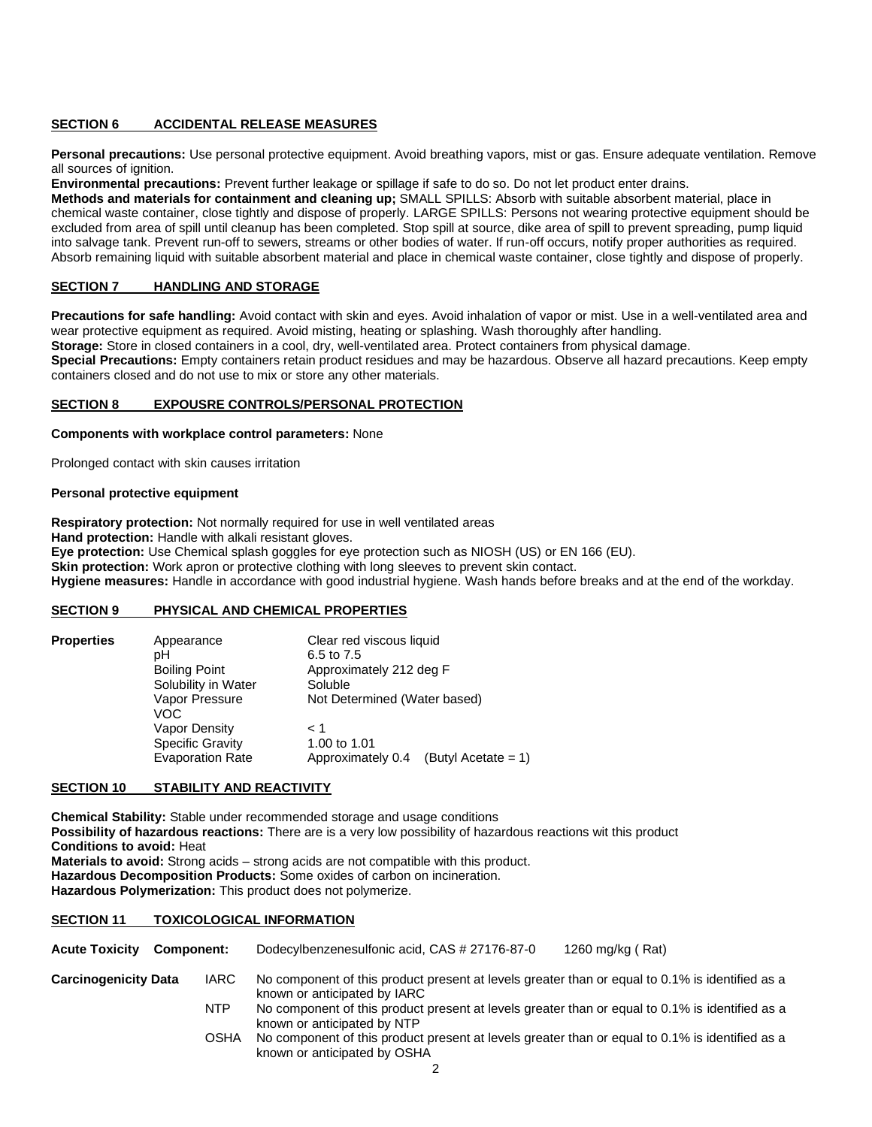# **SECTION 6 ACCIDENTAL RELEASE MEASURES**

**Personal precautions:** Use personal protective equipment. Avoid breathing vapors, mist or gas. Ensure adequate ventilation. Remove all sources of ignition.

**Environmental precautions:** Prevent further leakage or spillage if safe to do so. Do not let product enter drains.

**Methods and materials for containment and cleaning up;** SMALL SPILLS: Absorb with suitable absorbent material, place in chemical waste container, close tightly and dispose of properly. LARGE SPILLS: Persons not wearing protective equipment should be excluded from area of spill until cleanup has been completed. Stop spill at source, dike area of spill to prevent spreading, pump liquid into salvage tank. Prevent run-off to sewers, streams or other bodies of water. If run-off occurs, notify proper authorities as required. Absorb remaining liquid with suitable absorbent material and place in chemical waste container, close tightly and dispose of properly.

# **SECTION 7 HANDLING AND STORAGE**

**Precautions for safe handling:** Avoid contact with skin and eyes. Avoid inhalation of vapor or mist. Use in a well-ventilated area and wear protective equipment as required. Avoid misting, heating or splashing. Wash thoroughly after handling.

**Storage:** Store in closed containers in a cool, dry, well-ventilated area. Protect containers from physical damage.

**Special Precautions:** Empty containers retain product residues and may be hazardous. Observe all hazard precautions. Keep empty containers closed and do not use to mix or store any other materials.

#### **SECTION 8 EXPOUSRE CONTROLS/PERSONAL PROTECTION**

#### **Components with workplace control parameters:** None

Prolonged contact with skin causes irritation

#### **Personal protective equipment**

**Respiratory protection:** Not normally required for use in well ventilated areas **Hand protection:** Handle with alkali resistant gloves. **Eye protection:** Use Chemical splash goggles for eye protection such as NIOSH (US) or EN 166 (EU). **Skin protection:** Work apron or protective clothing with long sleeves to prevent skin contact. **Hygiene measures:** Handle in accordance with good industrial hygiene. Wash hands before breaks and at the end of the workday.

#### **SECTION 9 PHYSICAL AND CHEMICAL PROPERTIES**

| <b>Properties</b> | Appearance<br>pН<br><b>Boiling Point</b><br>Solubility in Water<br>Vapor Pressure | Clear red viscous liquid<br>6.5 to 7.5<br>Approximately 212 deg F<br>Soluble<br>Not Determined (Water based) |                     |
|-------------------|-----------------------------------------------------------------------------------|--------------------------------------------------------------------------------------------------------------|---------------------|
|                   | VOC<br>Vapor Density<br><b>Specific Gravity</b><br><b>Evaporation Rate</b>        | < 1<br>1.00 to 1.01<br>Approximately 0.4                                                                     | (Butyl Acetate = 1) |

#### **SECTION 10 STABILITY AND REACTIVITY**

**Chemical Stability:** Stable under recommended storage and usage conditions **Possibility of hazardous reactions:** There are is a very low possibility of hazardous reactions wit this product **Conditions to avoid:** Heat **Materials to avoid:** Strong acids – strong acids are not compatible with this product. **Hazardous Decomposition Products:** Some oxides of carbon on incineration. **Hazardous Polymerization:** This product does not polymerize.

#### **SECTION 11 TOXICOLOGICAL INFORMATION**

**Acute Toxicity Component:** Dodecylbenzenesulfonic acid, CAS # 27176-87-0 1260 mg/kg ( Rat)

- **Carcinogenicity Data** IARC No component of this product present at levels greater than or equal to 0.1% is identified as a known or anticipated by IARC
	- NTP No component of this product present at levels greater than or equal to 0.1% is identified as a known or anticipated by NTP
	- OSHA No component of this product present at levels greater than or equal to 0.1% is identified as a known or anticipated by OSHA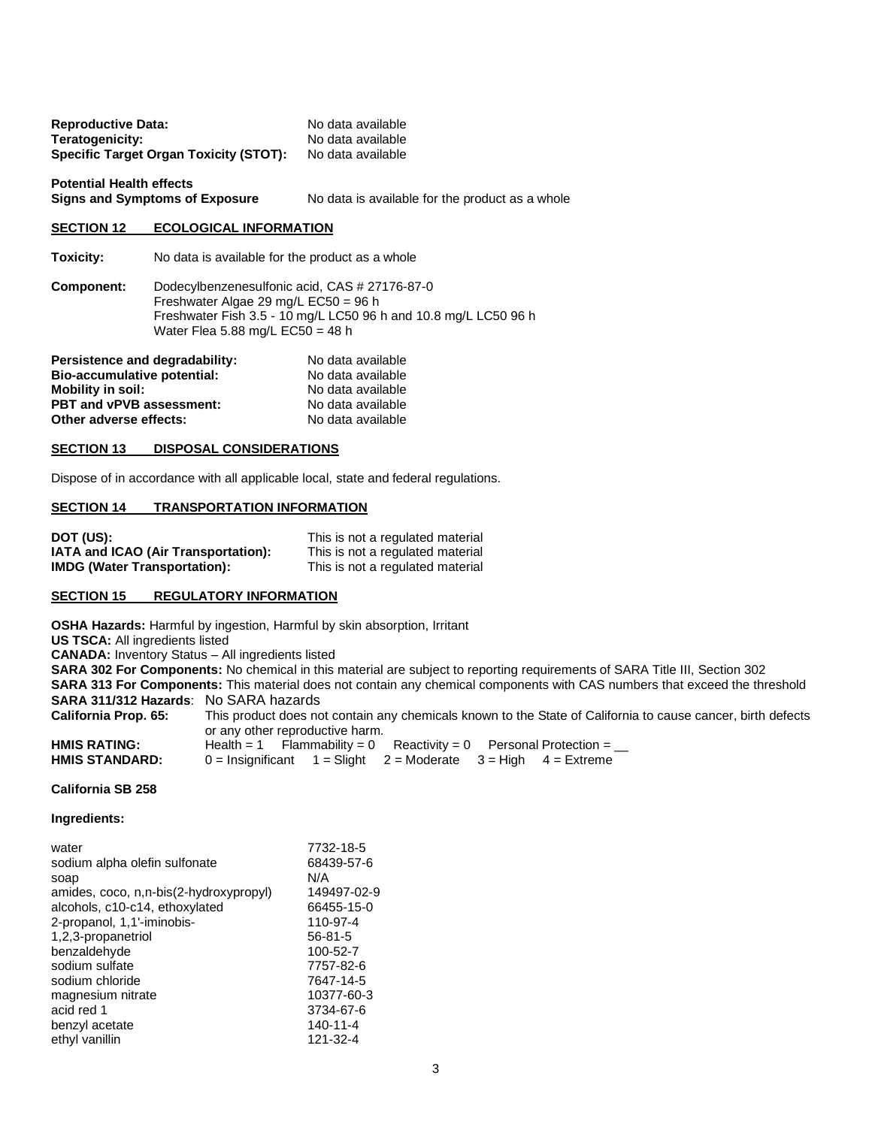| <b>Reproductive Data:</b>                     | No data available |
|-----------------------------------------------|-------------------|
| Teratogenicity:                               | No data available |
| <b>Specific Target Organ Toxicity (STOT):</b> | No data available |
|                                               |                   |

**Potential Health effects**

No data is available for the product as a whole

# **SECTION 12 ECOLOGICAL INFORMATION**

**Toxicity:** No data is available for the product as a whole

**Component:** Dodecylbenzenesulfonic acid, CAS # 27176-87-0 Freshwater Algae 29 mg/L EC50 = 96 h Freshwater Fish 3.5 - 10 mg/L LC50 96 h and 10.8 mg/L LC50 96 h Water Flea 5.88 mg/L  $EC50 = 48$  h

| Persistence and degradability:  | No data available |
|---------------------------------|-------------------|
| Bio-accumulative potential:     | No data available |
| <b>Mobility in soil:</b>        | No data available |
| <b>PBT and vPVB assessment:</b> | No data available |
| Other adverse effects:          | No data available |

# **SECTION 13 DISPOSAL CONSIDERATIONS**

Dispose of in accordance with all applicable local, state and federal regulations.

#### **SECTION 14 TRANSPORTATION INFORMATION**

| DOT (US):                           | This is not a regulated material |
|-------------------------------------|----------------------------------|
| IATA and ICAO (Air Transportation): | This is not a regulated material |
| <b>IMDG (Water Transportation):</b> | This is not a regulated material |

# **SECTION 15 REGULATORY INFORMATION**

**OSHA Hazards:** Harmful by ingestion, Harmful by skin absorption, Irritant

**US TSCA:** All ingredients listed

**CANADA:** Inventory Status – All ingredients listed

**SARA 302 For Components:** No chemical in this material are subject to reporting requirements of SARA Title III, Section 302 **SARA 313 For Components:** This material does not contain any chemical components with CAS numbers that exceed the threshold **SARA 311/312 Hazards**: No SARA hazards **California Prop. 65:** This product does not contain any chemicals known to the State of California to cause cancer, birth defects

|                       | or any other reproductive harm.                                          |
|-----------------------|--------------------------------------------------------------------------|
| <b>HMIS RATING:</b>   | Health = 1 Flammability = 0 Reactivity = 0 Personal Protection =         |
| <b>HMIS STANDARD:</b> | $0 =$ Insignificant $1 =$ Slight $2 =$ Moderate $3 =$ High $4 =$ Extreme |

#### **California SB 258**

**Ingredients:**

| water                                  | 7732-18-5      |
|----------------------------------------|----------------|
| sodium alpha olefin sulfonate          | 68439-57-6     |
| soap                                   | N/A            |
| amides, coco, n,n-bis(2-hydroxypropyl) | 149497-02-9    |
| alcohols, c10-c14, ethoxylated         | 66455-15-0     |
| 2-propanol, 1,1'-iminobis-             | 110-97-4       |
| 1,2,3-propanetriol                     | $56 - 81 - 5$  |
| benzaldehyde                           | 100-52-7       |
| sodium sulfate                         | 7757-82-6      |
| sodium chloride                        | 7647-14-5      |
| magnesium nitrate                      | 10377-60-3     |
| acid red 1                             | 3734-67-6      |
| benzyl acetate                         | $140 - 11 - 4$ |
| ethyl vanillin                         | 121-32-4       |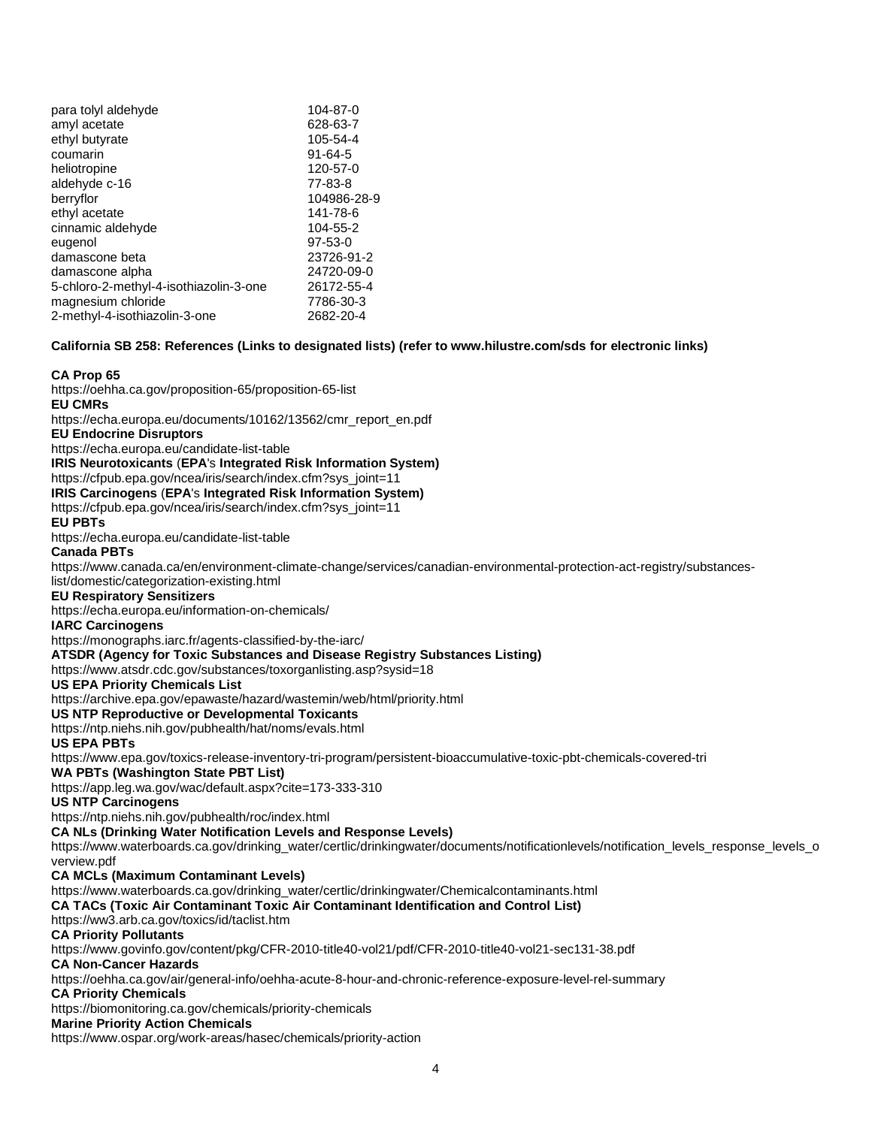| para tolyl aldehyde                    | 104-87-0      |
|----------------------------------------|---------------|
| amyl acetate                           | 628-63-7      |
| ethyl butyrate                         | 105-54-4      |
| coumarin                               | $91 - 64 - 5$ |
| heliotropine                           | 120-57-0      |
| aldehyde c-16                          | 77-83-8       |
| berryflor                              | 104986-28-9   |
| ethyl acetate                          | 141-78-6      |
| cinnamic aldehyde                      | 104-55-2      |
| eugenol                                | $97 - 53 - 0$ |
| damascone beta                         | 23726-91-2    |
| damascone alpha                        | 24720-09-0    |
| 5-chloro-2-methyl-4-isothiazolin-3-one | 26172-55-4    |
| magnesium chloride                     | 7786-30-3     |
| 2-methyl-4-isothiazolin-3-one          | 2682-20-4     |
|                                        |               |

**California SB 258: References (Links to designated lists) (refer t[o www.hilustre.com/sds](http://www.hilustre.com/sds) for electronic links)**

#### **CA Prop 65**

<https://oehha.ca.gov/proposition-65/proposition-65-list> **EU CMRs** [https://echa.europa.eu/documents/10162/13562/cmr\\_report\\_en.pdf](https://echa.europa.eu/documents/10162/13562/cmr_report_en.pdf) **EU Endocrine Disruptors** <https://echa.europa.eu/candidate-list-table> **IRIS Neurotoxicants** (**EPA**'s **Integrated Risk Information System)** [https://cfpub.epa.gov/ncea/iris/search/index.cfm?sys\\_joint=11](https://cfpub.epa.gov/ncea/iris/search/index.cfm?sys_joint=11) **IRIS Carcinogens** (**EPA**'s **Integrated Risk Information System)** [https://cfpub.epa.gov/ncea/iris/search/index.cfm?sys\\_joint=11](https://cfpub.epa.gov/ncea/iris/search/index.cfm?sys_joint=11) **EU PBTs** <https://echa.europa.eu/candidate-list-table> **Canada PBTs** [https://www.canada.ca/en/environment-climate-change/services/canadian-environmental-protection-act-registry/substances](https://www.canada.ca/en/environment-climate-change/services/canadian-environmental-protection-act-registry/substances-list/domestic/categorization-existing.html)[list/domestic/categorization-existing.html](https://www.canada.ca/en/environment-climate-change/services/canadian-environmental-protection-act-registry/substances-list/domestic/categorization-existing.html) **EU Respiratory Sensitizers** <https://echa.europa.eu/information-on-chemicals/> **IARC Carcinogens** <https://monographs.iarc.fr/agents-classified-by-the-iarc/> **ATSDR (Agency for Toxic Substances and Disease Registry Substances Listing)** <https://www.atsdr.cdc.gov/substances/toxorganlisting.asp?sysid=18> **US EPA Priority Chemicals List** <https://archive.epa.gov/epawaste/hazard/wastemin/web/html/priority.html> **US NTP Reproductive or Developmental Toxicants** <https://ntp.niehs.nih.gov/pubhealth/hat/noms/evals.html> **US EPA PBTs** <https://www.epa.gov/toxics-release-inventory-tri-program/persistent-bioaccumulative-toxic-pbt-chemicals-covered-tri> **WA PBTs (Washington State PBT List)** <https://app.leg.wa.gov/wac/default.aspx?cite=173-333-310> **US NTP Carcinogens** <https://ntp.niehs.nih.gov/pubhealth/roc/index.html> **CA NLs (Drinking Water Notification Levels and Response Levels)** [https://www.waterboards.ca.gov/drinking\\_water/certlic/drinkingwater/documents/notificationlevels/notification\\_levels\\_response\\_levels\\_o](https://www.waterboards.ca.gov/drinking_water/certlic/drinkingwater/documents/notificationlevels/notification_levels_response_levels_overview.pdf) [verview.pdf](https://www.waterboards.ca.gov/drinking_water/certlic/drinkingwater/documents/notificationlevels/notification_levels_response_levels_overview.pdf) **CA MCLs (Maximum Contaminant Levels)** [https://www.waterboards.ca.gov/drinking\\_water/certlic/drinkingwater/Chemicalcontaminants.html](https://www.waterboards.ca.gov/drinking_water/certlic/drinkingwater/Chemicalcontaminants.html) **CA TACs (Toxic Air Contaminant Toxic Air Contaminant Identification and Control List)** <https://ww3.arb.ca.gov/toxics/id/taclist.htm> **CA Priority Pollutants** <https://www.govinfo.gov/content/pkg/CFR-2010-title40-vol21/pdf/CFR-2010-title40-vol21-sec131-38.pdf> **CA Non-Cancer Hazards** <https://oehha.ca.gov/air/general-info/oehha-acute-8-hour-and-chronic-reference-exposure-level-rel-summary> **CA Priority Chemicals** <https://biomonitoring.ca.gov/chemicals/priority-chemicals> **Marine Priority Action Chemicals**  <https://www.ospar.org/work-areas/hasec/chemicals/priority-action>